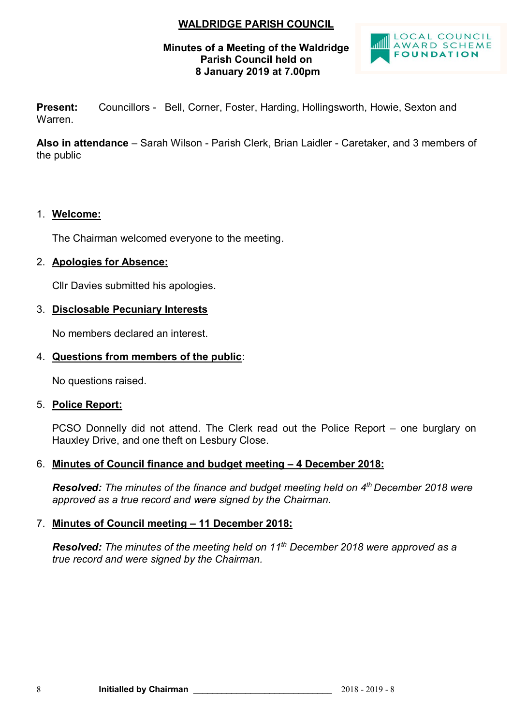# **WALDRIDGE PARISH COUNCIL**

## **Minutes of a Meeting of the Waldridge Parish Council held on 8 January 2019 at 7.00pm**



**Present:** Councillors - Bell, Corner, Foster, Harding, Hollingsworth, Howie, Sexton and Warren.

**Also in attendance** – Sarah Wilson - Parish Clerk, Brian Laidler - Caretaker, and 3 members of the public

# 1. **Welcome:**

The Chairman welcomed everyone to the meeting.

# 2. **Apologies for Absence:**

Cllr Davies submitted his apologies.

# 3. **Disclosable Pecuniary Interests**

No members declared an interest.

# 4. **Questions from members of the public**:

No questions raised.

## 5. **Police Report:**

PCSO Donnelly did not attend. The Clerk read out the Police Report – one burglary on Hauxley Drive, and one theft on Lesbury Close.

# 6. **Minutes of Council finance and budget meeting – 4 December 2018:**

*Resolved: The minutes of the finance and budget meeting held on 4 th December 2018 were approved as a true record and were signed by the Chairman.*

# 7. **Minutes of Council meeting – 11 December 2018:**

*Resolved: The minutes of the meeting held on 11th December 2018 were approved as a true record and were signed by the Chairman.*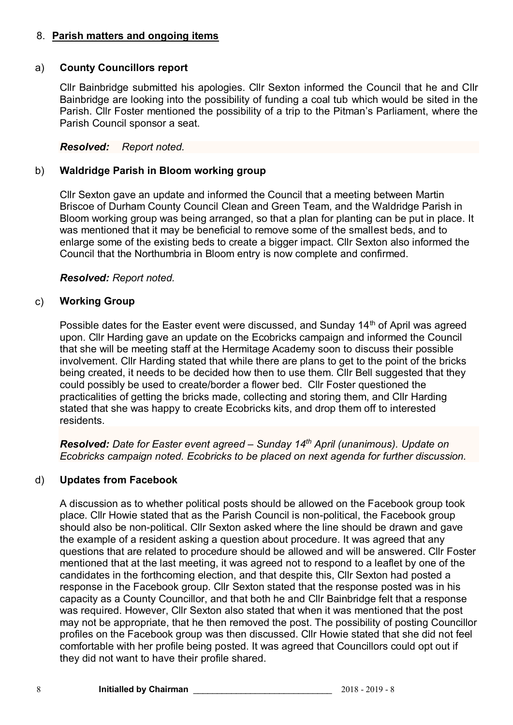# 8. **Parish matters and ongoing items**

## a) **County Councillors report**

Cllr Bainbridge submitted his apologies. Cllr Sexton informed the Council that he and Cllr Bainbridge are looking into the possibility of funding a coal tub which would be sited in the Parish. Cllr Foster mentioned the possibility of a trip to the Pitman's Parliament, where the Parish Council sponsor a seat.

## *Resolved: Report noted.*

# b) **Waldridge Parish in Bloom working group**

Cllr Sexton gave an update and informed the Council that a meeting between Martin Briscoe of Durham County Council Clean and Green Team, and the Waldridge Parish in Bloom working group was being arranged, so that a plan for planting can be put in place. It was mentioned that it may be beneficial to remove some of the smallest beds, and to enlarge some of the existing beds to create a bigger impact. Cllr Sexton also informed the Council that the Northumbria in Bloom entry is now complete and confirmed.

## *Resolved: Report noted.*

# c) **Working Group**

Possible dates for the Easter event were discussed, and Sunday 14<sup>th</sup> of April was agreed upon. Cllr Harding gave an update on the Ecobricks campaign and informed the Council that she will be meeting staff at the Hermitage Academy soon to discuss their possible involvement. Cllr Harding stated that while there are plans to get to the point of the bricks being created, it needs to be decided how then to use them. Cllr Bell suggested that they could possibly be used to create/border a flower bed. Cllr Foster questioned the practicalities of getting the bricks made, collecting and storing them, and Cllr Harding stated that she was happy to create Ecobricks kits, and drop them off to interested residents.

*Resolved: Date for Easter event agreed – Sunday 14 th April (unanimous). Update on Ecobricks campaign noted. Ecobricks to be placed on next agenda for further discussion.*

## d) **Updates from Facebook**

A discussion as to whether political posts should be allowed on the Facebook group took place. Cllr Howie stated that as the Parish Council is non-political, the Facebook group should also be non-political. Cllr Sexton asked where the line should be drawn and gave the example of a resident asking a question about procedure. It was agreed that any questions that are related to procedure should be allowed and will be answered. Cllr Foster mentioned that at the last meeting, it was agreed not to respond to a leaflet by one of the candidates in the forthcoming election, and that despite this, Cllr Sexton had posted a response in the Facebook group. Cllr Sexton stated that the response posted was in his capacity as a County Councillor, and that both he and Cllr Bainbridge felt that a response was required. However, Cllr Sexton also stated that when it was mentioned that the post may not be appropriate, that he then removed the post. The possibility of posting Councillor profiles on the Facebook group was then discussed. Cllr Howie stated that she did not feel comfortable with her profile being posted. It was agreed that Councillors could opt out if they did not want to have their profile shared.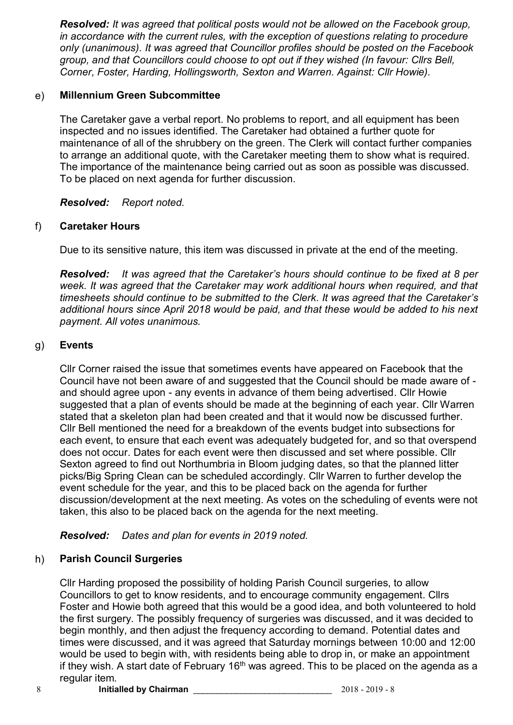*Resolved: It was agreed that political posts would not be allowed on the Facebook group, in accordance with the current rules, with the exception of questions relating to procedure only (unanimous). It was agreed that Councillor profiles should be posted on the Facebook group, and that Councillors could choose to opt out if they wished (In favour: Cllrs Bell, Corner, Foster, Harding, Hollingsworth, Sexton and Warren. Against: Cllr Howie).*

# e) **Millennium Green Subcommittee**

The Caretaker gave a verbal report. No problems to report, and all equipment has been inspected and no issues identified. The Caretaker had obtained a further quote for maintenance of all of the shrubbery on the green. The Clerk will contact further companies to arrange an additional quote, with the Caretaker meeting them to show what is required. The importance of the maintenance being carried out as soon as possible was discussed. To be placed on next agenda for further discussion.

*Resolved: Report noted.* 

# f) **Caretaker Hours**

Due to its sensitive nature, this item was discussed in private at the end of the meeting.

*Resolved: It was agreed that the Caretaker's hours should continue to be fixed at 8 per week. It was agreed that the Caretaker may work additional hours when required, and that timesheets should continue to be submitted to the Clerk. It was agreed that the Caretaker's additional hours since April 2018 would be paid, and that these would be added to his next payment. All votes unanimous.*

# g) **Events**

Cllr Corner raised the issue that sometimes events have appeared on Facebook that the Council have not been aware of and suggested that the Council should be made aware of and should agree upon - any events in advance of them being advertised. Cllr Howie suggested that a plan of events should be made at the beginning of each year. Cllr Warren stated that a skeleton plan had been created and that it would now be discussed further. Cllr Bell mentioned the need for a breakdown of the events budget into subsections for each event, to ensure that each event was adequately budgeted for, and so that overspend does not occur. Dates for each event were then discussed and set where possible. Cllr Sexton agreed to find out Northumbria in Bloom judging dates, so that the planned litter picks/Big Spring Clean can be scheduled accordingly. Cllr Warren to further develop the event schedule for the year, and this to be placed back on the agenda for further discussion/development at the next meeting. As votes on the scheduling of events were not taken, this also to be placed back on the agenda for the next meeting.

*Resolved: Dates and plan for events in 2019 noted.*

# h) **Parish Council Surgeries**

Cllr Harding proposed the possibility of holding Parish Council surgeries, to allow Councillors to get to know residents, and to encourage community engagement. Cllrs Foster and Howie both agreed that this would be a good idea, and both volunteered to hold the first surgery. The possibly frequency of surgeries was discussed, and it was decided to begin monthly, and then adjust the frequency according to demand. Potential dates and times were discussed, and it was agreed that Saturday mornings between 10:00 and 12:00 would be used to begin with, with residents being able to drop in, or make an appointment if they wish. A start date of February 16<sup>th</sup> was agreed. This to be placed on the agenda as a regular item.

8 **Initialled by Chairman CONSUMER 2018 - 2018 - 2019 - 8**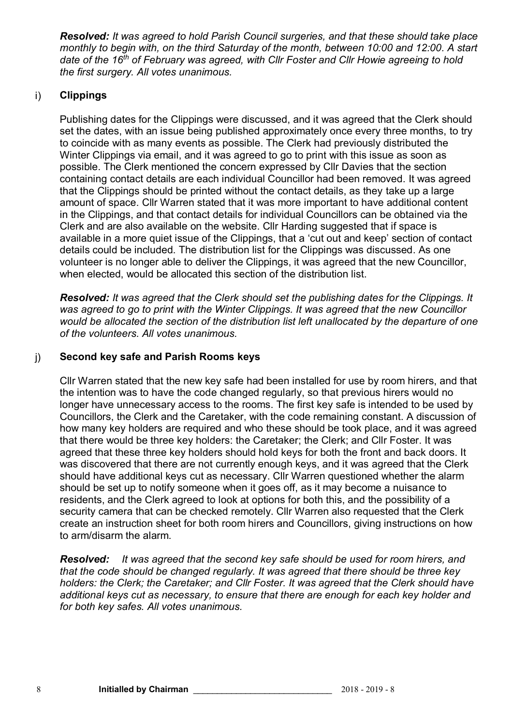*Resolved: It was agreed to hold Parish Council surgeries, and that these should take place monthly to begin with, on the third Saturday of the month, between 10:00 and 12:00. A start date of the 16th of February was agreed, with Cllr Foster and Cllr Howie agreeing to hold the first surgery. All votes unanimous.*

# i) **Clippings**

Publishing dates for the Clippings were discussed, and it was agreed that the Clerk should set the dates, with an issue being published approximately once every three months, to try to coincide with as many events as possible. The Clerk had previously distributed the Winter Clippings via email, and it was agreed to go to print with this issue as soon as possible. The Clerk mentioned the concern expressed by Cllr Davies that the section containing contact details are each individual Councillor had been removed. It was agreed that the Clippings should be printed without the contact details, as they take up a large amount of space. Cllr Warren stated that it was more important to have additional content in the Clippings, and that contact details for individual Councillors can be obtained via the Clerk and are also available on the website. Cllr Harding suggested that if space is available in a more quiet issue of the Clippings, that a 'cut out and keep' section of contact details could be included. The distribution list for the Clippings was discussed. As one volunteer is no longer able to deliver the Clippings, it was agreed that the new Councillor, when elected, would be allocated this section of the distribution list.

*Resolved: It was agreed that the Clerk should set the publishing dates for the Clippings. It was agreed to go to print with the Winter Clippings. It was agreed that the new Councillor would be allocated the section of the distribution list left unallocated by the departure of one of the volunteers. All votes unanimous.*

# j) **Second key safe and Parish Rooms keys**

Cllr Warren stated that the new key safe had been installed for use by room hirers, and that the intention was to have the code changed regularly, so that previous hirers would no longer have unnecessary access to the rooms. The first key safe is intended to be used by Councillors, the Clerk and the Caretaker, with the code remaining constant. A discussion of how many key holders are required and who these should be took place, and it was agreed that there would be three key holders: the Caretaker; the Clerk; and Cllr Foster. It was agreed that these three key holders should hold keys for both the front and back doors. It was discovered that there are not currently enough keys, and it was agreed that the Clerk should have additional keys cut as necessary. Cllr Warren questioned whether the alarm should be set up to notify someone when it goes off, as it may become a nuisance to residents, and the Clerk agreed to look at options for both this, and the possibility of a security camera that can be checked remotely. Cllr Warren also requested that the Clerk create an instruction sheet for both room hirers and Councillors, giving instructions on how to arm/disarm the alarm.

*Resolved: It was agreed that the second key safe should be used for room hirers, and that the code should be changed regularly. It was agreed that there should be three key holders: the Clerk; the Caretaker; and Cllr Foster. It was agreed that the Clerk should have additional keys cut as necessary, to ensure that there are enough for each key holder and for both key safes. All votes unanimous.*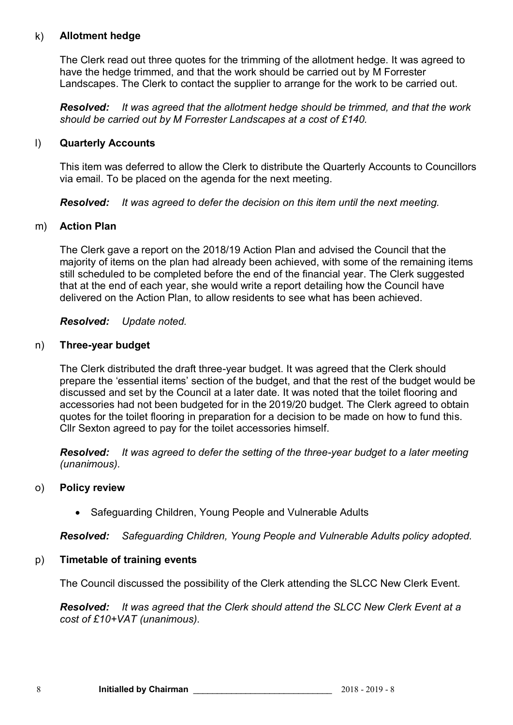# k) **Allotment hedge**

The Clerk read out three quotes for the trimming of the allotment hedge. It was agreed to have the hedge trimmed, and that the work should be carried out by M Forrester Landscapes. The Clerk to contact the supplier to arrange for the work to be carried out.

*Resolved: It was agreed that the allotment hedge should be trimmed, and that the work should be carried out by M Forrester Landscapes at a cost of £140.*

### l) **Quarterly Accounts**

This item was deferred to allow the Clerk to distribute the Quarterly Accounts to Councillors via email. To be placed on the agenda for the next meeting.

*Resolved: It was agreed to defer the decision on this item until the next meeting.*

#### m) **Action Plan**

The Clerk gave a report on the 2018/19 Action Plan and advised the Council that the majority of items on the plan had already been achieved, with some of the remaining items still scheduled to be completed before the end of the financial year. The Clerk suggested that at the end of each year, she would write a report detailing how the Council have delivered on the Action Plan, to allow residents to see what has been achieved.

*Resolved: Update noted.*

#### n) **Three-year budget**

The Clerk distributed the draft three-year budget. It was agreed that the Clerk should prepare the 'essential items' section of the budget, and that the rest of the budget would be discussed and set by the Council at a later date. It was noted that the toilet flooring and accessories had not been budgeted for in the 2019/20 budget. The Clerk agreed to obtain quotes for the toilet flooring in preparation for a decision to be made on how to fund this. Cllr Sexton agreed to pay for the toilet accessories himself.

*Resolved: It was agreed to defer the setting of the three-year budget to a later meeting (unanimous).*

#### o) **Policy review**

• Safeguarding Children, Young People and Vulnerable Adults

*Resolved: Safeguarding Children, Young People and Vulnerable Adults policy adopted.*

## p) **Timetable of training events**

The Council discussed the possibility of the Clerk attending the SLCC New Clerk Event.

*Resolved: It was agreed that the Clerk should attend the SLCC New Clerk Event at a cost of £10+VAT (unanimous).*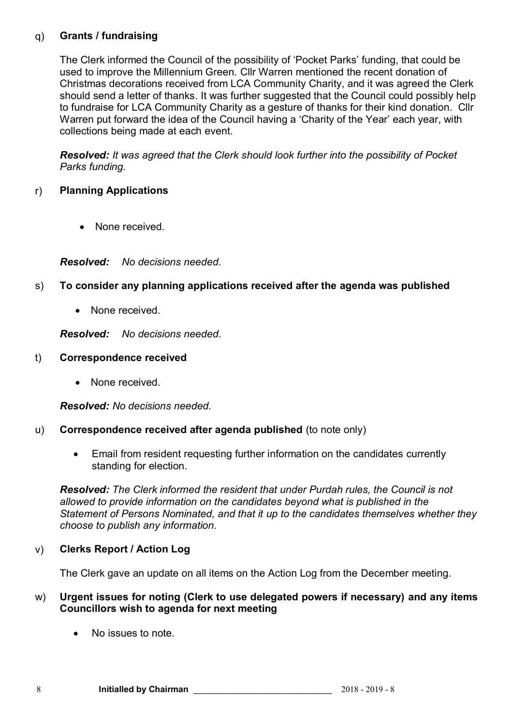# q) **Grants / fundraising**

The Clerk informed the Council of the possibility of 'Pocket Parks' funding, that could be used to improve the Millennium Green. Cllr Warren mentioned the recent donation of Christmas decorations received from LCA Community Charity, and it was agreed the Clerk should send a letter of thanks. It was further suggested that the Council could possibly help to fundraise for LCA Community Charity as a gesture of thanks for their kind donation. Cllr Warren put forward the idea of the Council having a 'Charity of the Year' each year, with collections being made at each event.

*Resolved: It was agreed that the Clerk should look further into the possibility of Pocket Parks funding.*

# r) **Planning Applications**

• None received.

*Resolved: No decisions needed.*

# s) **To consider any planning applications received after the agenda was published**

• None received.

*Resolved: No decisions needed.*

### t) **Correspondence received**

• None received.

*Resolved: No decisions needed.*

## u) **Correspondence received after agenda published** (to note only)

 Email from resident requesting further information on the candidates currently standing for election.

*Resolved: The Clerk informed the resident that under Purdah rules, the Council is not allowed to provide information on the candidates beyond what is published in the Statement of Persons Nominated, and that it up to the candidates themselves whether they choose to publish any information.*

## v) **Clerks Report / Action Log**

The Clerk gave an update on all items on the Action Log from the December meeting.

## w) **Urgent issues for noting (Clerk to use delegated powers if necessary) and any items Councillors wish to agenda for next meeting**

No issues to note.